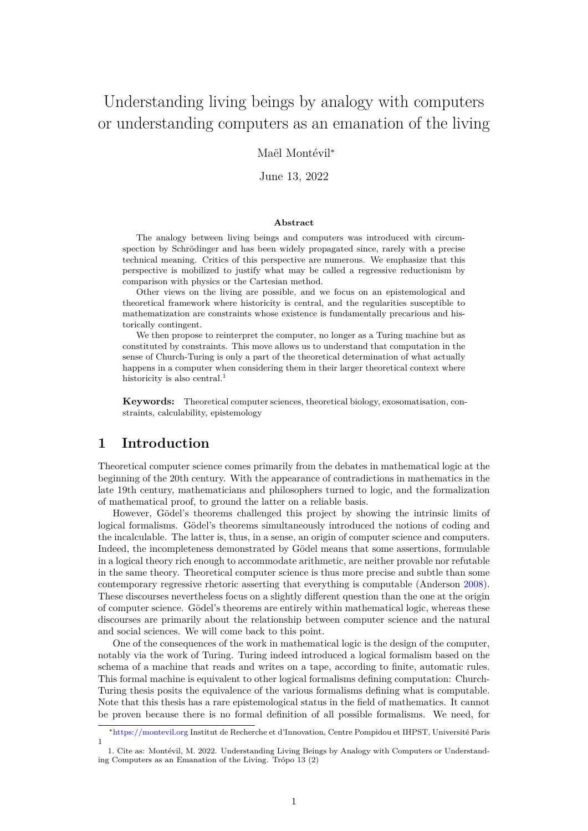# Understanding living beings by analogy with computers or understanding computers as an emanation of the living

### Maël Montévil<sup>∗</sup>

#### June 13, 2022

#### **Abstract**

The analogy between living beings and computers was introduced with circumspection by Schrödinger and has been widely propagated since, rarely with a precise technical meaning. Critics of this perspective are numerous. We emphasize that this perspective is mobilized to justify what may be called a regressive reductionism by comparison with physics or the Cartesian method.

Other views on the living are possible, and we focus on an epistemological and theoretical framework where historicity is central, and the regularities susceptible to mathematization are constraints whose existence is fundamentally precarious and historically contingent.

We then propose to reinterpret the computer, no longer as a Turing machine but as constituted by constraints. This move allows us to understand that computation in the sense of Church-Turing is only a part of the theoretical determination of what actually happens in a computer when considering them in their larger theoretical context where historicity is also central. $<sup>1</sup>$  $<sup>1</sup>$  $<sup>1</sup>$ </sup>

**Keywords:** Theoretical computer sciences, theoretical biology, exosomatisation, constraints, calculability, epistemology

# **1 Introduction**

Theoretical computer science comes primarily from the debates in mathematical logic at the beginning of the 20th century. With the appearance of contradictions in mathematics in the late 19th century, mathematicians and philosophers turned to logic, and the formalization of mathematical proof, to ground the latter on a reliable basis.

However, Gödel's theorems challenged this project by showing the intrinsic limits of logical formalisms. Gödel's theorems simultaneously introduced the notions of coding and the incalculable. The latter is, thus, in a sense, an origin of computer science and computers. Indeed, the incompleteness demonstrated by Gödel means that some assertions, formulable in a logical theory rich enough to accommodate arithmetic, are neither provable nor refutable in the same theory. Theoretical computer science is thus more precise and subtle than some contemporary regressive rhetoric asserting that everything is computable (Anderson [2008\)](#page-8-0). These discourses nevertheless focus on a slightly different question than the one at the origin of computer science. Gödel's theorems are entirely within mathematical logic, whereas these discourses are primarily about the relationship between computer science and the natural and social sciences. We will come back to this point.

One of the consequences of the work in mathematical logic is the design of the computer, notably via the work of Turing. Turing indeed introduced a logical formalism based on the schema of a machine that reads and writes on a tape, according to finite, automatic rules. This formal machine is equivalent to other logical formalisms defining computation: Church-Turing thesis posits the equivalence of the various formalisms defining what is computable. Note that this thesis has a rare epistemological status in the field of mathematics. It cannot be proven because there is no formal definition of all possible formalisms. We need, for

<sup>∗</sup><https://montevil.org> Institut de Recherche et d'Innovation, Centre Pompidou et IHPST, Université Paris 1

<span id="page-0-0"></span><sup>1.</sup> Cite as: Montévil, M. 2022. Understanding Living Beings by Analogy with Computers or Understanding Computers as an Emanation of the Living. Trópo 13 (2)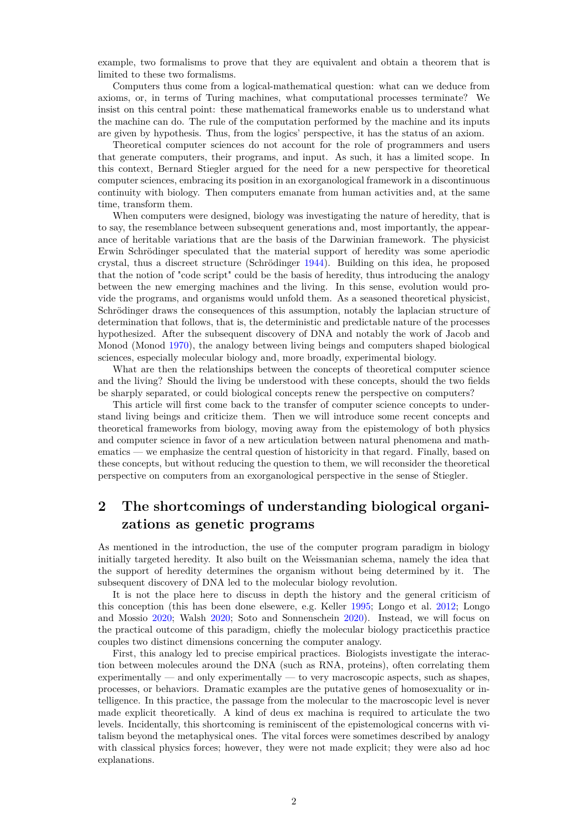example, two formalisms to prove that they are equivalent and obtain a theorem that is limited to these two formalisms.

Computers thus come from a logical-mathematical question: what can we deduce from axioms, or, in terms of Turing machines, what computational processes terminate? We insist on this central point: these mathematical frameworks enable us to understand what the machine can do. The rule of the computation performed by the machine and its inputs are given by hypothesis. Thus, from the logics' perspective, it has the status of an axiom.

Theoretical computer sciences do not account for the role of programmers and users that generate computers, their programs, and input. As such, it has a limited scope. In this context, Bernard Stiegler argued for the need for a new perspective for theoretical computer sciences, embracing its position in an exorganological framework in a discontinuous continuity with biology. Then computers emanate from human activities and, at the same time, transform them.

When computers were designed, biology was investigating the nature of heredity, that is to say, the resemblance between subsequent generations and, most importantly, the appearance of heritable variations that are the basis of the Darwinian framework. The physicist Erwin Schrödinger speculated that the material support of heredity was some aperiodic crystal, thus a discreet structure (Schrödinger [1944\)](#page-8-1). Building on this idea, he proposed that the notion of "code script" could be the basis of heredity, thus introducing the analogy between the new emerging machines and the living. In this sense, evolution would provide the programs, and organisms would unfold them. As a seasoned theoretical physicist, Schrödinger draws the consequences of this assumption, notably the laplacian structure of determination that follows, that is, the deterministic and predictable nature of the processes hypothesized. After the subsequent discovery of DNA and notably the work of Jacob and Monod (Monod [1970\)](#page-8-2), the analogy between living beings and computers shaped biological sciences, especially molecular biology and, more broadly, experimental biology.

What are then the relationships between the concepts of theoretical computer science and the living? Should the living be understood with these concepts, should the two fields be sharply separated, or could biological concepts renew the perspective on computers?

This article will first come back to the transfer of computer science concepts to understand living beings and criticize them. Then we will introduce some recent concepts and theoretical frameworks from biology, moving away from the epistemology of both physics and computer science in favor of a new articulation between natural phenomena and mathematics — we emphasize the central question of historicity in that regard. Finally, based on these concepts, but without reducing the question to them, we will reconsider the theoretical perspective on computers from an exorganological perspective in the sense of Stiegler.

# **2 The shortcomings of understanding biological organizations as genetic programs**

As mentioned in the introduction, the use of the computer program paradigm in biology initially targeted heredity. It also built on the Weissmanian schema, namely the idea that the support of heredity determines the organism without being determined by it. The subsequent discovery of DNA led to the molecular biology revolution.

It is not the place here to discuss in depth the history and the general criticism of this conception (this has been done elsewere, e.g. Keller [1995;](#page-8-3) Longo et al. [2012;](#page-8-4) Longo and Mossio [2020;](#page-8-5) Walsh [2020;](#page-9-0) Soto and Sonnenschein [2020\)](#page-8-6). Instead, we will focus on the practical outcome of this paradigm, chiefly the molecular biology practicethis practice couples two distinct dimensions concerning the computer analogy.

First, this analogy led to precise empirical practices. Biologists investigate the interaction between molecules around the DNA (such as RNA, proteins), often correlating them experimentally — and only experimentally — to very macroscopic aspects, such as shapes, processes, or behaviors. Dramatic examples are the putative genes of homosexuality or intelligence. In this practice, the passage from the molecular to the macroscopic level is never made explicit theoretically. A kind of deus ex machina is required to articulate the two levels. Incidentally, this shortcoming is reminiscent of the epistemological concerns with vitalism beyond the metaphysical ones. The vital forces were sometimes described by analogy with classical physics forces; however, they were not made explicit; they were also ad hoc explanations.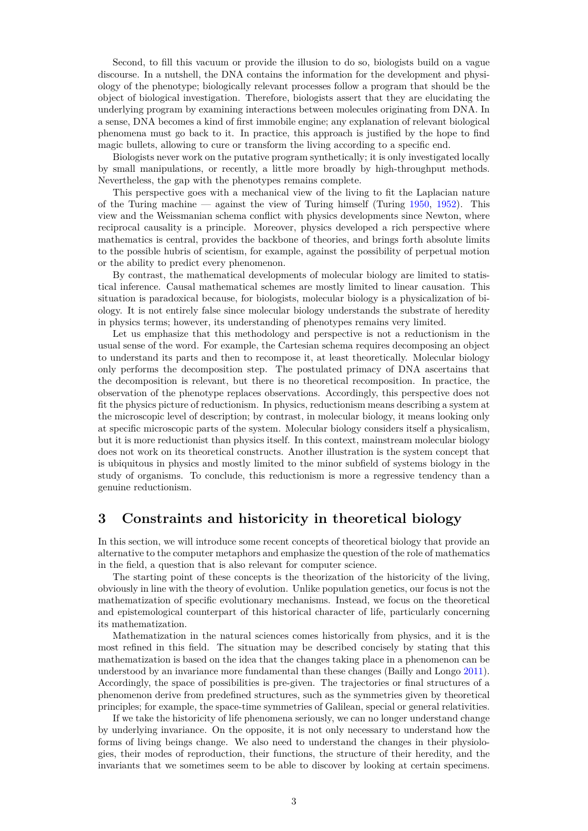Second, to fill this vacuum or provide the illusion to do so, biologists build on a vague discourse. In a nutshell, the DNA contains the information for the development and physiology of the phenotype; biologically relevant processes follow a program that should be the object of biological investigation. Therefore, biologists assert that they are elucidating the underlying program by examining interactions between molecules originating from DNA. In a sense, DNA becomes a kind of first immobile engine; any explanation of relevant biological phenomena must go back to it. In practice, this approach is justified by the hope to find magic bullets, allowing to cure or transform the living according to a specific end.

Biologists never work on the putative program synthetically; it is only investigated locally by small manipulations, or recently, a little more broadly by high-throughput methods. Nevertheless, the gap with the phenotypes remains complete.

This perspective goes with a mechanical view of the living to fit the Laplacian nature of the Turing machine — against the view of Turing himself (Turing [1950,](#page-9-1) [1952\)](#page-9-2). This view and the Weissmanian schema conflict with physics developments since Newton, where reciprocal causality is a principle. Moreover, physics developed a rich perspective where mathematics is central, provides the backbone of theories, and brings forth absolute limits to the possible hubris of scientism, for example, against the possibility of perpetual motion or the ability to predict every phenomenon.

By contrast, the mathematical developments of molecular biology are limited to statistical inference. Causal mathematical schemes are mostly limited to linear causation. This situation is paradoxical because, for biologists, molecular biology is a physicalization of biology. It is not entirely false since molecular biology understands the substrate of heredity in physics terms; however, its understanding of phenotypes remains very limited.

Let us emphasize that this methodology and perspective is not a reductionism in the usual sense of the word. For example, the Cartesian schema requires decomposing an object to understand its parts and then to recompose it, at least theoretically. Molecular biology only performs the decomposition step. The postulated primacy of DNA ascertains that the decomposition is relevant, but there is no theoretical recomposition. In practice, the observation of the phenotype replaces observations. Accordingly, this perspective does not fit the physics picture of reductionism. In physics, reductionism means describing a system at the microscopic level of description; by contrast, in molecular biology, it means looking only at specific microscopic parts of the system. Molecular biology considers itself a physicalism, but it is more reductionist than physics itself. In this context, mainstream molecular biology does not work on its theoretical constructs. Another illustration is the system concept that is ubiquitous in physics and mostly limited to the minor subfield of systems biology in the study of organisms. To conclude, this reductionism is more a regressive tendency than a genuine reductionism.

# **3 Constraints and historicity in theoretical biology**

In this section, we will introduce some recent concepts of theoretical biology that provide an alternative to the computer metaphors and emphasize the question of the role of mathematics in the field, a question that is also relevant for computer science.

The starting point of these concepts is the theorization of the historicity of the living, obviously in line with the theory of evolution. Unlike population genetics, our focus is not the mathematization of specific evolutionary mechanisms. Instead, we focus on the theoretical and epistemological counterpart of this historical character of life, particularly concerning its mathematization.

Mathematization in the natural sciences comes historically from physics, and it is the most refined in this field. The situation may be described concisely by stating that this mathematization is based on the idea that the changes taking place in a phenomenon can be understood by an invariance more fundamental than these changes (Bailly and Longo [2011\)](#page-8-7). Accordingly, the space of possibilities is pre-given. The trajectories or final structures of a phenomenon derive from predefined structures, such as the symmetries given by theoretical principles; for example, the space-time symmetries of Galilean, special or general relativities.

If we take the historicity of life phenomena seriously, we can no longer understand change by underlying invariance. On the opposite, it is not only necessary to understand how the forms of living beings change. We also need to understand the changes in their physiologies, their modes of reproduction, their functions, the structure of their heredity, and the invariants that we sometimes seem to be able to discover by looking at certain specimens.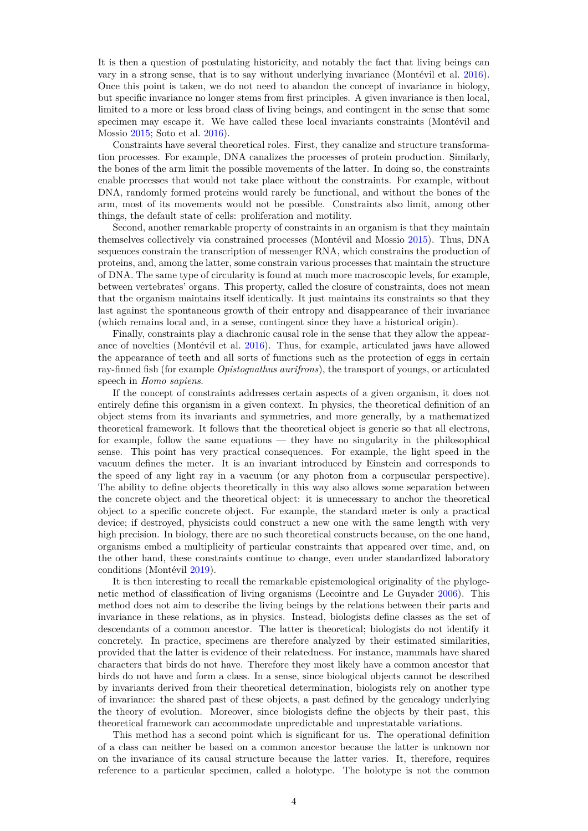It is then a question of postulating historicity, and notably the fact that living beings can vary in a strong sense, that is to say without underlying invariance (Montévil et al. [2016\)](#page-8-8). Once this point is taken, we do not need to abandon the concept of invariance in biology, but specific invariance no longer stems from first principles. A given invariance is then local, limited to a more or less broad class of living beings, and contingent in the sense that some specimen may escape it. We have called these local invariants constraints (Montévil and Mossio [2015;](#page-8-9) Soto et al. [2016\)](#page-8-10).

Constraints have several theoretical roles. First, they canalize and structure transformation processes. For example, DNA canalizes the processes of protein production. Similarly, the bones of the arm limit the possible movements of the latter. In doing so, the constraints enable processes that would not take place without the constraints. For example, without DNA, randomly formed proteins would rarely be functional, and without the bones of the arm, most of its movements would not be possible. Constraints also limit, among other things, the default state of cells: proliferation and motility.

Second, another remarkable property of constraints in an organism is that they maintain themselves collectively via constrained processes (Montévil and Mossio [2015\)](#page-8-9). Thus, DNA sequences constrain the transcription of messenger RNA, which constrains the production of proteins, and, among the latter, some constrain various processes that maintain the structure of DNA. The same type of circularity is found at much more macroscopic levels, for example, between vertebrates' organs. This property, called the closure of constraints, does not mean that the organism maintains itself identically. It just maintains its constraints so that they last against the spontaneous growth of their entropy and disappearance of their invariance (which remains local and, in a sense, contingent since they have a historical origin).

Finally, constraints play a diachronic causal role in the sense that they allow the appearance of novelties (Montévil et al. [2016\)](#page-8-8). Thus, for example, articulated jaws have allowed the appearance of teeth and all sorts of functions such as the protection of eggs in certain ray-finned fish (for example *Opistognathus aurifrons*), the transport of youngs, or articulated speech in *Homo sapiens*.

If the concept of constraints addresses certain aspects of a given organism, it does not entirely define this organism in a given context. In physics, the theoretical definition of an object stems from its invariants and symmetries, and more generally, by a mathematized theoretical framework. It follows that the theoretical object is generic so that all electrons, for example, follow the same equations — they have no singularity in the philosophical sense. This point has very practical consequences. For example, the light speed in the vacuum defines the meter. It is an invariant introduced by Einstein and corresponds to the speed of any light ray in a vacuum (or any photon from a corpuscular perspective). The ability to define objects theoretically in this way also allows some separation between the concrete object and the theoretical object: it is unnecessary to anchor the theoretical object to a specific concrete object. For example, the standard meter is only a practical device; if destroyed, physicists could construct a new one with the same length with very high precision. In biology, there are no such theoretical constructs because, on the one hand, organisms embed a multiplicity of particular constraints that appeared over time, and, on the other hand, these constraints continue to change, even under standardized laboratory conditions (Montévil [2019\)](#page-8-11).

It is then interesting to recall the remarkable epistemological originality of the phylogenetic method of classification of living organisms (Lecointre and Le Guyader [2006\)](#page-8-12). This method does not aim to describe the living beings by the relations between their parts and invariance in these relations, as in physics. Instead, biologists define classes as the set of descendants of a common ancestor. The latter is theoretical; biologists do not identify it concretely. In practice, specimens are therefore analyzed by their estimated similarities, provided that the latter is evidence of their relatedness. For instance, mammals have shared characters that birds do not have. Therefore they most likely have a common ancestor that birds do not have and form a class. In a sense, since biological objects cannot be described by invariants derived from their theoretical determination, biologists rely on another type of invariance: the shared past of these objects, a past defined by the genealogy underlying the theory of evolution. Moreover, since biologists define the objects by their past, this theoretical framework can accommodate unpredictable and unprestatable variations.

This method has a second point which is significant for us. The operational definition of a class can neither be based on a common ancestor because the latter is unknown nor on the invariance of its causal structure because the latter varies. It, therefore, requires reference to a particular specimen, called a holotype. The holotype is not the common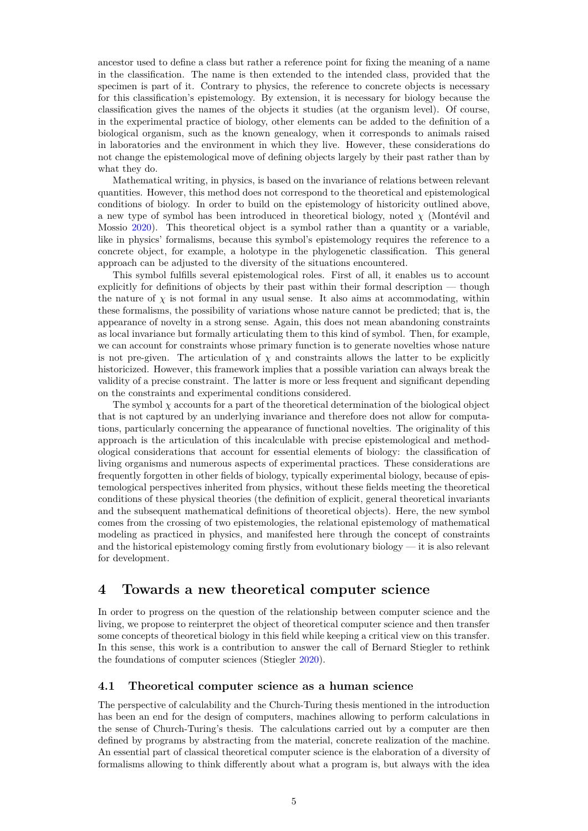ancestor used to define a class but rather a reference point for fixing the meaning of a name in the classification. The name is then extended to the intended class, provided that the specimen is part of it. Contrary to physics, the reference to concrete objects is necessary for this classification's epistemology. By extension, it is necessary for biology because the classification gives the names of the objects it studies (at the organism level). Of course, in the experimental practice of biology, other elements can be added to the definition of a biological organism, such as the known genealogy, when it corresponds to animals raised in laboratories and the environment in which they live. However, these considerations do not change the epistemological move of defining objects largely by their past rather than by what they do.

Mathematical writing, in physics, is based on the invariance of relations between relevant quantities. However, this method does not correspond to the theoretical and epistemological conditions of biology. In order to build on the epistemology of historicity outlined above, a new type of symbol has been introduced in theoretical biology, noted  $\chi$  (Montévil and Mossio [2020\)](#page-8-13). This theoretical object is a symbol rather than a quantity or a variable, like in physics' formalisms, because this symbol's epistemology requires the reference to a concrete object, for example, a holotype in the phylogenetic classification. This general approach can be adjusted to the diversity of the situations encountered.

This symbol fulfills several epistemological roles. First of all, it enables us to account explicitly for definitions of objects by their past within their formal description — though the nature of  $\chi$  is not formal in any usual sense. It also aims at accommodating, within these formalisms, the possibility of variations whose nature cannot be predicted; that is, the appearance of novelty in a strong sense. Again, this does not mean abandoning constraints as local invariance but formally articulating them to this kind of symbol. Then, for example, we can account for constraints whose primary function is to generate novelties whose nature is not pre-given. The articulation of  $\chi$  and constraints allows the latter to be explicitly historicized. However, this framework implies that a possible variation can always break the validity of a precise constraint. The latter is more or less frequent and significant depending on the constraints and experimental conditions considered.

The symbol  $\chi$  accounts for a part of the theoretical determination of the biological object that is not captured by an underlying invariance and therefore does not allow for computations, particularly concerning the appearance of functional novelties. The originality of this approach is the articulation of this incalculable with precise epistemological and methodological considerations that account for essential elements of biology: the classification of living organisms and numerous aspects of experimental practices. These considerations are frequently forgotten in other fields of biology, typically experimental biology, because of epistemological perspectives inherited from physics, without these fields meeting the theoretical conditions of these physical theories (the definition of explicit, general theoretical invariants and the subsequent mathematical definitions of theoretical objects). Here, the new symbol comes from the crossing of two epistemologies, the relational epistemology of mathematical modeling as practiced in physics, and manifested here through the concept of constraints and the historical epistemology coming firstly from evolutionary biology — it is also relevant for development.

# **4 Towards a new theoretical computer science**

In order to progress on the question of the relationship between computer science and the living, we propose to reinterpret the object of theoretical computer science and then transfer some concepts of theoretical biology in this field while keeping a critical view on this transfer. In this sense, this work is a contribution to answer the call of Bernard Stiegler to rethink the foundations of computer sciences (Stiegler [2020\)](#page-8-14).

#### **4.1 Theoretical computer science as a human science**

The perspective of calculability and the Church-Turing thesis mentioned in the introduction has been an end for the design of computers, machines allowing to perform calculations in the sense of Church-Turing's thesis. The calculations carried out by a computer are then defined by programs by abstracting from the material, concrete realization of the machine. An essential part of classical theoretical computer science is the elaboration of a diversity of formalisms allowing to think differently about what a program is, but always with the idea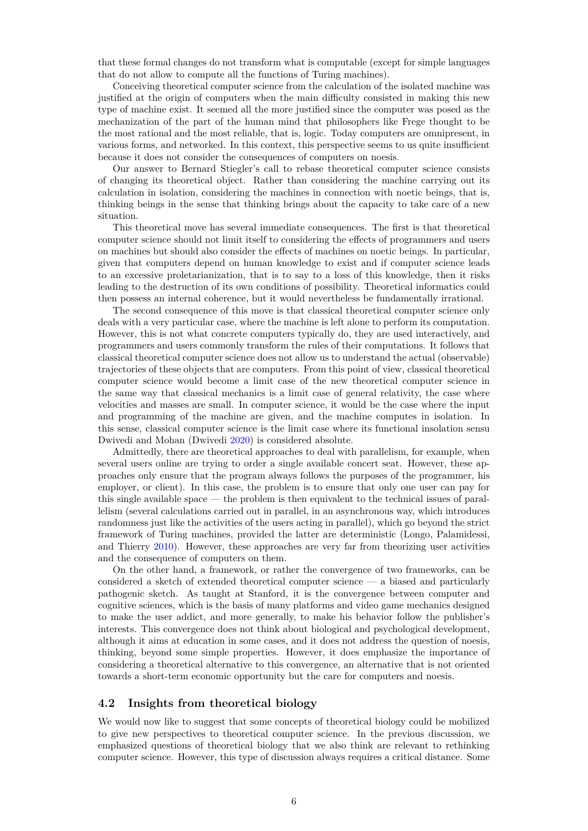that these formal changes do not transform what is computable (except for simple languages that do not allow to compute all the functions of Turing machines).

Conceiving theoretical computer science from the calculation of the isolated machine was justified at the origin of computers when the main difficulty consisted in making this new type of machine exist. It seemed all the more justified since the computer was posed as the mechanization of the part of the human mind that philosophers like Frege thought to be the most rational and the most reliable, that is, logic. Today computers are omnipresent, in various forms, and networked. In this context, this perspective seems to us quite insufficient because it does not consider the consequences of computers on noesis.

Our answer to Bernard Stiegler's call to rebase theoretical computer science consists of changing its theoretical object. Rather than considering the machine carrying out its calculation in isolation, considering the machines in connection with noetic beings, that is, thinking beings in the sense that thinking brings about the capacity to take care of a new situation.

This theoretical move has several immediate consequences. The first is that theoretical computer science should not limit itself to considering the effects of programmers and users on machines but should also consider the effects of machines on noetic beings. In particular, given that computers depend on human knowledge to exist and if computer science leads to an excessive proletarianization, that is to say to a loss of this knowledge, then it risks leading to the destruction of its own conditions of possibility. Theoretical informatics could then possess an internal coherence, but it would nevertheless be fundamentally irrational.

The second consequence of this move is that classical theoretical computer science only deals with a very particular case, where the machine is left alone to perform its computation. However, this is not what concrete computers typically do, they are used interactively, and programmers and users commonly transform the rules of their computations. It follows that classical theoretical computer science does not allow us to understand the actual (observable) trajectories of these objects that are computers. From this point of view, classical theoretical computer science would become a limit case of the new theoretical computer science in the same way that classical mechanics is a limit case of general relativity, the case where velocities and masses are small. In computer science, it would be the case where the input and programming of the machine are given, and the machine computes in isolation. In this sense, classical computer science is the limit case where its functional insolation sensu Dwivedi and Mohan (Dwivedi [2020\)](#page-8-15) is considered absolute.

Admittedly, there are theoretical approaches to deal with parallelism, for example, when several users online are trying to order a single available concert seat. However, these approaches only ensure that the program always follows the purposes of the programmer, his employer, or client). In this case, the problem is to ensure that only one user can pay for this single available space — the problem is then equivalent to the technical issues of parallelism (several calculations carried out in parallel, in an asynchronous way, which introduces randomness just like the activities of the users acting in parallel), which go beyond the strict framework of Turing machines, provided the latter are deterministic (Longo, Palamidessi, and Thierry [2010\)](#page-8-16). However, these approaches are very far from theorizing user activities and the consequence of computers on them.

On the other hand, a framework, or rather the convergence of two frameworks, can be considered a sketch of extended theoretical computer science — a biased and particularly pathogenic sketch. As taught at Stanford, it is the convergence between computer and cognitive sciences, which is the basis of many platforms and video game mechanics designed to make the user addict, and more generally, to make his behavior follow the publisher's interests. This convergence does not think about biological and psychological development, although it aims at education in some cases, and it does not address the question of noesis, thinking, beyond some simple properties. However, it does emphasize the importance of considering a theoretical alternative to this convergence, an alternative that is not oriented towards a short-term economic opportunity but the care for computers and noesis.

#### **4.2 Insights from theoretical biology**

We would now like to suggest that some concepts of theoretical biology could be mobilized to give new perspectives to theoretical computer science. In the previous discussion, we emphasized questions of theoretical biology that we also think are relevant to rethinking computer science. However, this type of discussion always requires a critical distance. Some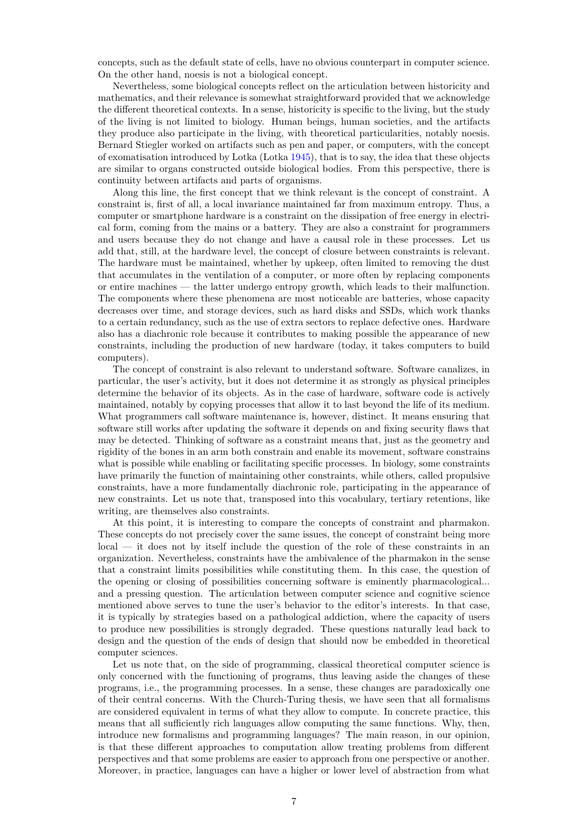concepts, such as the default state of cells, have no obvious counterpart in computer science. On the other hand, noesis is not a biological concept.

Nevertheless, some biological concepts reflect on the articulation between historicity and mathematics, and their relevance is somewhat straightforward provided that we acknowledge the different theoretical contexts. In a sense, historicity is specific to the living, but the study of the living is not limited to biology. Human beings, human societies, and the artifacts they produce also participate in the living, with theoretical particularities, notably noesis. Bernard Stiegler worked on artifacts such as pen and paper, or computers, with the concept of exomatisation introduced by Lotka (Lotka [1945\)](#page-8-17), that is to say, the idea that these objects are similar to organs constructed outside biological bodies. From this perspective, there is continuity between artifacts and parts of organisms.

Along this line, the first concept that we think relevant is the concept of constraint. A constraint is, first of all, a local invariance maintained far from maximum entropy. Thus, a computer or smartphone hardware is a constraint on the dissipation of free energy in electrical form, coming from the mains or a battery. They are also a constraint for programmers and users because they do not change and have a causal role in these processes. Let us add that, still, at the hardware level, the concept of closure between constraints is relevant. The hardware must be maintained, whether by upkeep, often limited to removing the dust that accumulates in the ventilation of a computer, or more often by replacing components or entire machines — the latter undergo entropy growth, which leads to their malfunction. The components where these phenomena are most noticeable are batteries, whose capacity decreases over time, and storage devices, such as hard disks and SSDs, which work thanks to a certain redundancy, such as the use of extra sectors to replace defective ones. Hardware also has a diachronic role because it contributes to making possible the appearance of new constraints, including the production of new hardware (today, it takes computers to build computers).

The concept of constraint is also relevant to understand software. Software canalizes, in particular, the user's activity, but it does not determine it as strongly as physical principles determine the behavior of its objects. As in the case of hardware, software code is actively maintained, notably by copying processes that allow it to last beyond the life of its medium. What programmers call software maintenance is, however, distinct. It means ensuring that software still works after updating the software it depends on and fixing security flaws that may be detected. Thinking of software as a constraint means that, just as the geometry and rigidity of the bones in an arm both constrain and enable its movement, software constrains what is possible while enabling or facilitating specific processes. In biology, some constraints have primarily the function of maintaining other constraints, while others, called propulsive constraints, have a more fundamentally diachronic role, participating in the appearance of new constraints. Let us note that, transposed into this vocabulary, tertiary retentions, like writing, are themselves also constraints.

At this point, it is interesting to compare the concepts of constraint and pharmakon. These concepts do not precisely cover the same issues, the concept of constraint being more local — it does not by itself include the question of the role of these constraints in an organization. Nevertheless, constraints have the ambivalence of the pharmakon in the sense that a constraint limits possibilities while constituting them. In this case, the question of the opening or closing of possibilities concerning software is eminently pharmacological... and a pressing question. The articulation between computer science and cognitive science mentioned above serves to tune the user's behavior to the editor's interests. In that case, it is typically by strategies based on a pathological addiction, where the capacity of users to produce new possibilities is strongly degraded. These questions naturally lead back to design and the question of the ends of design that should now be embedded in theoretical computer sciences.

Let us note that, on the side of programming, classical theoretical computer science is only concerned with the functioning of programs, thus leaving aside the changes of these programs, i.e., the programming processes. In a sense, these changes are paradoxically one of their central concerns. With the Church-Turing thesis, we have seen that all formalisms are considered equivalent in terms of what they allow to compute. In concrete practice, this means that all sufficiently rich languages allow computing the same functions. Why, then, introduce new formalisms and programming languages? The main reason, in our opinion, is that these different approaches to computation allow treating problems from different perspectives and that some problems are easier to approach from one perspective or another. Moreover, in practice, languages can have a higher or lower level of abstraction from what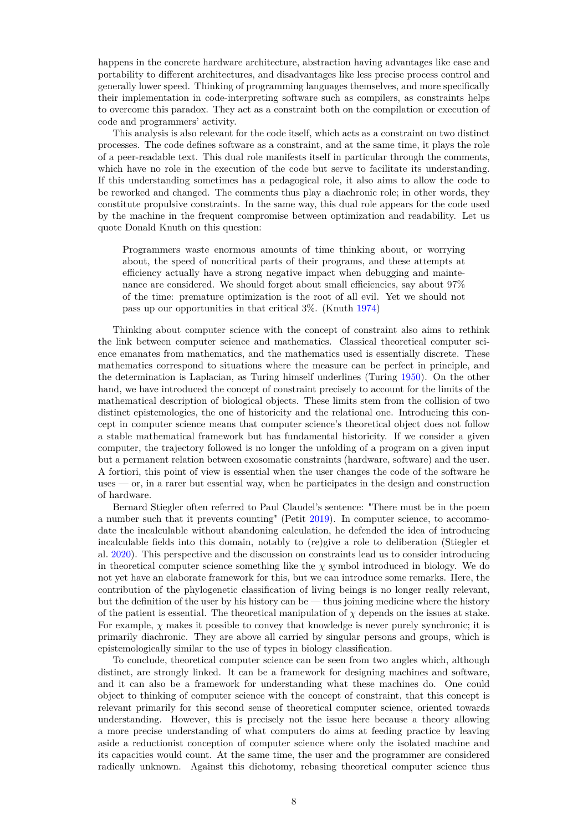happens in the concrete hardware architecture, abstraction having advantages like ease and portability to different architectures, and disadvantages like less precise process control and generally lower speed. Thinking of programming languages themselves, and more specifically their implementation in code-interpreting software such as compilers, as constraints helps to overcome this paradox. They act as a constraint both on the compilation or execution of code and programmers' activity.

This analysis is also relevant for the code itself, which acts as a constraint on two distinct processes. The code defines software as a constraint, and at the same time, it plays the role of a peer-readable text. This dual role manifests itself in particular through the comments, which have no role in the execution of the code but serve to facilitate its understanding. If this understanding sometimes has a pedagogical role, it also aims to allow the code to be reworked and changed. The comments thus play a diachronic role; in other words, they constitute propulsive constraints. In the same way, this dual role appears for the code used by the machine in the frequent compromise between optimization and readability. Let us quote Donald Knuth on this question:

Programmers waste enormous amounts of time thinking about, or worrying about, the speed of noncritical parts of their programs, and these attempts at efficiency actually have a strong negative impact when debugging and maintenance are considered. We should forget about small efficiencies, say about 97% of the time: premature optimization is the root of all evil. Yet we should not pass up our opportunities in that critical 3%. (Knuth [1974\)](#page-8-18)

Thinking about computer science with the concept of constraint also aims to rethink the link between computer science and mathematics. Classical theoretical computer science emanates from mathematics, and the mathematics used is essentially discrete. These mathematics correspond to situations where the measure can be perfect in principle, and the determination is Laplacian, as Turing himself underlines (Turing [1950\)](#page-9-1). On the other hand, we have introduced the concept of constraint precisely to account for the limits of the mathematical description of biological objects. These limits stem from the collision of two distinct epistemologies, the one of historicity and the relational one. Introducing this concept in computer science means that computer science's theoretical object does not follow a stable mathematical framework but has fundamental historicity. If we consider a given computer, the trajectory followed is no longer the unfolding of a program on a given input but a permanent relation between exosomatic constraints (hardware, software) and the user. A fortiori, this point of view is essential when the user changes the code of the software he uses — or, in a rarer but essential way, when he participates in the design and construction of hardware.

Bernard Stiegler often referred to Paul Claudel's sentence: "There must be in the poem a number such that it prevents counting" (Petit [2019\)](#page-8-19). In computer science, to accommodate the incalculable without abandoning calculation, he defended the idea of introducing incalculable fields into this domain, notably to (re)give a role to deliberation (Stiegler et al. [2020\)](#page-9-3). This perspective and the discussion on constraints lead us to consider introducing in theoretical computer science something like the  $\chi$  symbol introduced in biology. We do not yet have an elaborate framework for this, but we can introduce some remarks. Here, the contribution of the phylogenetic classification of living beings is no longer really relevant, but the definition of the user by his history can be — thus joining medicine where the history of the patient is essential. The theoretical manipulation of  $\chi$  depends on the issues at stake. For example,  $\chi$  makes it possible to convey that knowledge is never purely synchronic; it is primarily diachronic. They are above all carried by singular persons and groups, which is epistemologically similar to the use of types in biology classification.

To conclude, theoretical computer science can be seen from two angles which, although distinct, are strongly linked. It can be a framework for designing machines and software, and it can also be a framework for understanding what these machines do. One could object to thinking of computer science with the concept of constraint, that this concept is relevant primarily for this second sense of theoretical computer science, oriented towards understanding. However, this is precisely not the issue here because a theory allowing a more precise understanding of what computers do aims at feeding practice by leaving aside a reductionist conception of computer science where only the isolated machine and its capacities would count. At the same time, the user and the programmer are considered radically unknown. Against this dichotomy, rebasing theoretical computer science thus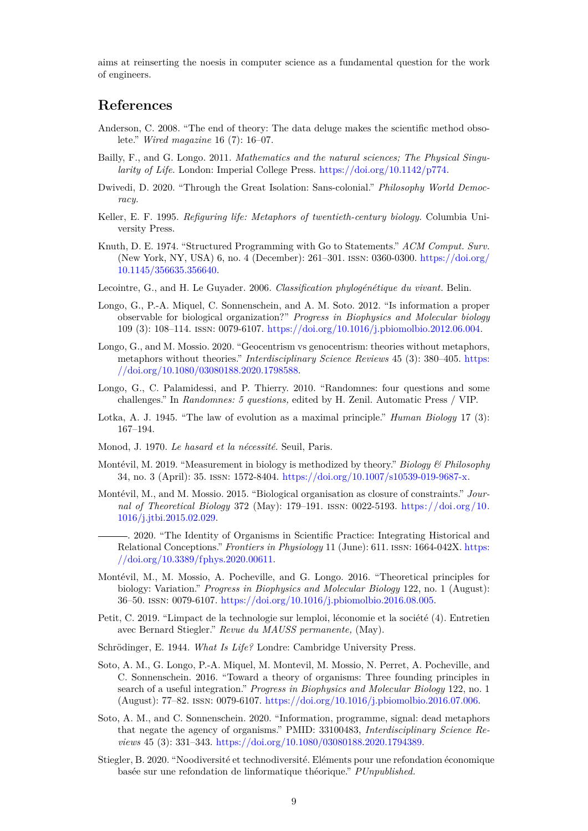aims at reinserting the noesis in computer science as a fundamental question for the work of engineers.

# **References**

- <span id="page-8-0"></span>Anderson, C. 2008. "The end of theory: The data deluge makes the scientific method obsolete." *Wired magazine* 16 (7): 16–07.
- <span id="page-8-7"></span>Bailly, F., and G. Longo. 2011. *Mathematics and the natural sciences; The Physical Singularity of Life.* London: Imperial College Press. [https://doi.org/10.1142/p774.](https://doi.org/10.1142/p774)
- <span id="page-8-15"></span>Dwivedi, D. 2020. "Through the Great Isolation: Sans-colonial." *Philosophy World Democracy.*
- <span id="page-8-3"></span>Keller, E. F. 1995. *Refiguring life: Metaphors of twentieth-century biology.* Columbia University Press.
- <span id="page-8-18"></span>Knuth, D. E. 1974. "Structured Programming with Go to Statements." *ACM Comput. Surv.* (New York, NY, USA) 6, no. 4 (December): 261–301. issn: 0360-0300. [https://doi.org/](https://doi.org/10.1145/356635.356640) [10.1145/356635.356640.](https://doi.org/10.1145/356635.356640)
- <span id="page-8-12"></span>Lecointre, G., and H. Le Guyader. 2006. *Classification phylogénétique du vivant.* Belin.
- <span id="page-8-4"></span>Longo, G., P.-A. Miquel, C. Sonnenschein, and A. M. Soto. 2012. "Is information a proper observable for biological organization?" *Progress in Biophysics and Molecular biology* 109 (3): 108–114. issn: 0079-6107. [https://doi.org/10.1016/j.pbiomolbio.2012.06.004.](https://doi.org/10.1016/j.pbiomolbio.2012.06.004)
- <span id="page-8-5"></span>Longo, G., and M. Mossio. 2020. "Geocentrism vs genocentrism: theories without metaphors, metaphors without theories." *Interdisciplinary Science Reviews* 45 (3): 380–405. [https:](https://doi.org/10.1080/03080188.2020.1798588) [//doi.org/10.1080/03080188.2020.1798588.](https://doi.org/10.1080/03080188.2020.1798588)
- <span id="page-8-16"></span>Longo, G., C. Palamidessi, and P. Thierry. 2010. "Randomnes: four questions and some challenges." In *Randomnes: 5 questions,* edited by H. Zenil. Automatic Press / VIP.
- <span id="page-8-17"></span>Lotka, A. J. 1945. "The law of evolution as a maximal principle." *Human Biology* 17 (3): 167–194.
- <span id="page-8-2"></span>Monod, J. 1970. *Le hasard et la nécessité.* Seuil, Paris.
- <span id="page-8-11"></span>Montévil, M. 2019. "Measurement in biology is methodized by theory." *Biology & Philosophy* 34, no. 3 (April): 35. issn: 1572-8404. [https://doi.org/10.1007/s10539-019-9687-x.](https://doi.org/10.1007/s10539-019-9687-x)
- <span id="page-8-13"></span><span id="page-8-9"></span>Montévil, M., and M. Mossio. 2015. "Biological organisation as closure of constraints." *Journal of Theoretical Biology* 372 (May): 179–191. issn: 0022-5193. [https://doi.org/10.](https://doi.org/10.1016/j.jtbi.2015.02.029) [1016/j.jtbi.2015.02.029.](https://doi.org/10.1016/j.jtbi.2015.02.029)
	- . 2020. "The Identity of Organisms in Scientific Practice: Integrating Historical and Relational Conceptions." *Frontiers in Physiology* 11 (June): 611. issn: 1664-042X. [https:](https://doi.org/10.3389/fphys.2020.00611) [//doi.org/10.3389/fphys.2020.00611.](https://doi.org/10.3389/fphys.2020.00611)
- <span id="page-8-8"></span>Montévil, M., M. Mossio, A. Pocheville, and G. Longo. 2016. "Theoretical principles for biology: Variation." *Progress in Biophysics and Molecular Biology* 122, no. 1 (August): 36–50. issn: 0079-6107. [https://doi.org/10.1016/j.pbiomolbio.2016.08.005.](https://doi.org/10.1016/j.pbiomolbio.2016.08.005)
- <span id="page-8-19"></span>Petit, C. 2019. "Limpact de la technologie sur lemploi, léconomie et la société (4). Entretien avec Bernard Stiegler." *Revue du MAUSS permanente,* (May).
- <span id="page-8-1"></span>Schrödinger, E. 1944. *What Is Life?* Londre: Cambridge University Press.
- <span id="page-8-10"></span>Soto, A. M., G. Longo, P.-A. Miquel, M. Montevil, M. Mossio, N. Perret, A. Pocheville, and C. Sonnenschein. 2016. "Toward a theory of organisms: Three founding principles in search of a useful integration." *Progress in Biophysics and Molecular Biology* 122, no. 1 (August): 77–82. issn: 0079-6107. [https://doi.org/10.1016/j.pbiomolbio.2016.07.006.](https://doi.org/10.1016/j.pbiomolbio.2016.07.006)
- <span id="page-8-6"></span>Soto, A. M., and C. Sonnenschein. 2020. "Information, programme, signal: dead metaphors that negate the agency of organisms." PMID: 33100483, *Interdisciplinary Science Reviews* 45 (3): 331–343. [https://doi.org/10.1080/03080188.2020.1794389.](https://doi.org/10.1080/03080188.2020.1794389)
- <span id="page-8-14"></span>Stiegler, B. 2020. "Noodiversité et technodiversité. Eléments pour une refondation économique basée sur une refondation de linformatique théorique." *PUnpublished.*